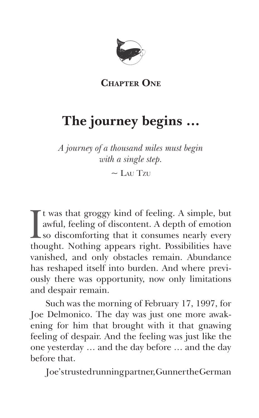

**Chapter One**

## **The journey begins …**

*A journey of a thousand miles must begin with a single step.*

 $\sim$  L<sub>AU</sub> T<sub>zu</sub>

 $\prod_{\text{the}}$ t was that groggy kind of feeling. A simple, but awful, feeling of discontent. A depth of emotion so discomforting that it consumes nearly every thought. Nothing appears right. Possibilities have vanished, and only obstacles remain. Abundance has reshaped itself into burden. And where previously there was opportunity, now only limitations and despair remain.

Such was the morning of February 17, 1997, for Joe Delmonico. The day was just one more awakening for him that brought with it that gnawing feeling of despair. And the feeling was just like the one yesterday … and the day before … and the day before that.

Joe's trusted running partner, Gunner the German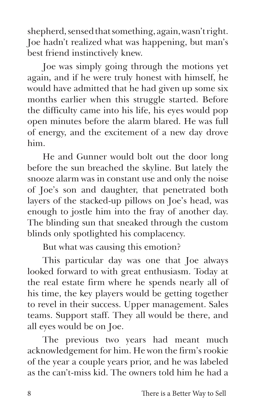shepherd, sensed that something, again, wasn't right. Joe hadn't realized what was happening, but man's best friend instinctively knew.

Joe was simply going through the motions yet again, and if he were truly honest with himself, he would have admitted that he had given up some six months earlier when this struggle started. Before the difficulty came into his life, his eyes would pop open minutes before the alarm blared. He was full of energy, and the excitement of a new day drove him.

He and Gunner would bolt out the door long before the sun breached the skyline. But lately the snooze alarm was in constant use and only the noise of Joe's son and daughter, that penetrated both layers of the stacked-up pillows on Joe's head, was enough to jostle him into the fray of another day. The blinding sun that sneaked through the custom blinds only spotlighted his complacency.

But what was causing this emotion?

This particular day was one that Joe always looked forward to with great enthusiasm. Today at the real estate firm where he spends nearly all of his time, the key players would be getting together to revel in their success. Upper management. Sales teams. Support staff. They all would be there, and all eyes would be on Joe.

The previous two years had meant much acknowledgement for him. He won the firm's rookie of the year a couple years prior, and he was labeled as the can't-miss kid. The owners told him he had a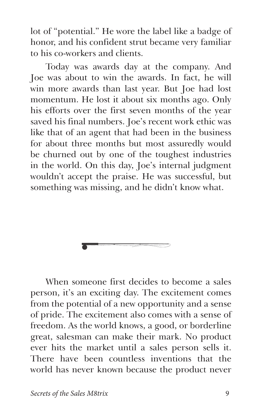lot of "potential." He wore the label like a badge of honor, and his confident strut became very familiar to his co-workers and clients.

Today was awards day at the company. And Joe was about to win the awards. In fact, he will win more awards than last year. But Joe had lost momentum. He lost it about six months ago. Only his efforts over the first seven months of the year saved his final numbers. Joe's recent work ethic was like that of an agent that had been in the business for about three months but most assuredly would be churned out by one of the toughest industries in the world. On this day, Joe's internal judgment wouldn't accept the praise. He was successful, but something was missing, and he didn't know what.

When someone first decides to become a sales person, it's an exciting day. The excitement comes from the potential of a new opportunity and a sense of pride. The excitement also comes with a sense of freedom. As the world knows, a good, or borderline great, salesman can make their mark. No product ever hits the market until a sales person sells it. There have been countless inventions that the world has never known because the product never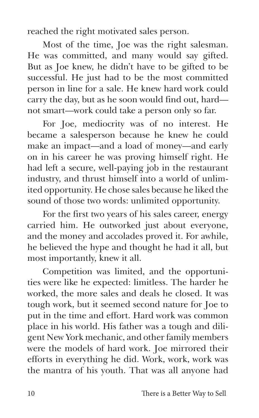reached the right motivated sales person.

Most of the time, Joe was the right salesman. He was committed, and many would say gifted. But as Joe knew, he didn't have to be gifted to be successful. He just had to be the most committed person in line for a sale. He knew hard work could carry the day, but as he soon would find out, hard not smart—work could take a person only so far.

For Joe, mediocrity was of no interest. He became a salesperson because he knew he could make an impact—and a load of money—and early on in his career he was proving himself right. He had left a secure, well-paying job in the restaurant industry, and thrust himself into a world of unlimited opportunity. He chose sales because he liked the sound of those two words: unlimited opportunity.

For the first two years of his sales career, energy carried him. He outworked just about everyone, and the money and accolades proved it. For awhile, he believed the hype and thought he had it all, but most importantly, knew it all.

Competition was limited, and the opportunities were like he expected: limitless. The harder he worked, the more sales and deals he closed. It was tough work, but it seemed second nature for Joe to put in the time and effort. Hard work was common place in his world. His father was a tough and diligent New York mechanic, and other family members were the models of hard work. Joe mirrored their efforts in everything he did. Work, work, work was the mantra of his youth. That was all anyone had